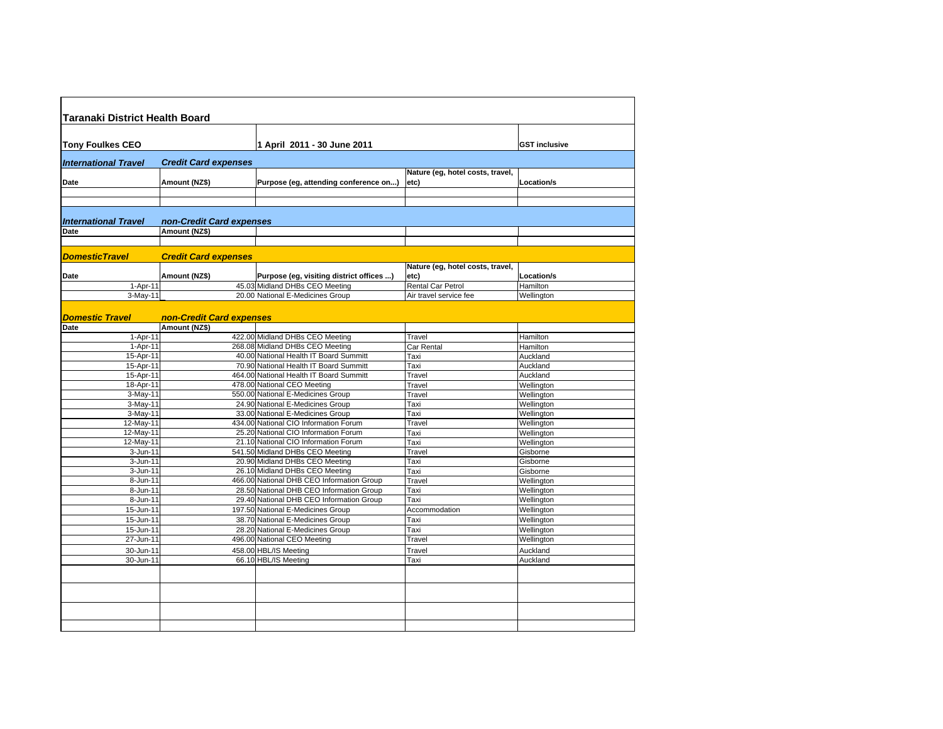| Taranaki District Health Board |                             |                                                                        |                                          |                        |
|--------------------------------|-----------------------------|------------------------------------------------------------------------|------------------------------------------|------------------------|
| <b>Tony Foulkes CEO</b>        |                             | 1 April 2011 - 30 June 2011                                            |                                          | <b>GST inclusive</b>   |
| <b>International Travel</b>    | <b>Credit Card expenses</b> |                                                                        |                                          |                        |
| Date                           | Amount (NZ\$)               | Purpose (eg, attending conference on)                                  | Nature (eg, hotel costs, travel,<br>etc) | Location/s             |
|                                |                             |                                                                        |                                          |                        |
| <b>International Travel</b>    | non-Credit Card expenses    |                                                                        |                                          |                        |
| Date                           | Amount (NZ\$)               |                                                                        |                                          |                        |
|                                |                             |                                                                        |                                          |                        |
| <b>DomesticTravel</b>          |                             |                                                                        |                                          |                        |
|                                | <b>Credit Card expenses</b> |                                                                        | Nature (eg, hotel costs, travel,         |                        |
| Date                           | Amount (NZ\$)               | Purpose (eg, visiting district offices )                               | etc)                                     | Location/s             |
| 1-Apr-11                       |                             | 45.03 Midland DHBs CEO Meeting                                         | Rental Car Petrol                        | Hamilton               |
| 3-May-11                       |                             | 20.00 National E-Medicines Group                                       | Air travel service fee                   | Wellington             |
| <b>Domestic Travel</b>         | non-Credit Card expenses    |                                                                        |                                          |                        |
| Date                           | Amount (NZ\$)               |                                                                        |                                          |                        |
| 1-Apr-11                       |                             | 422.00 Midland DHBs CEO Meeting                                        | Travel                                   | Hamilton               |
| 1-Apr-11                       |                             | 268.08 Midland DHBs CEO Meeting                                        | Car Rental                               | Hamilton               |
| 15-Apr-11                      |                             | 40.00 National Health IT Board Summitt                                 | Taxi                                     | Auckland               |
| 15-Apr-11                      |                             | 70.90 National Health IT Board Summitt                                 | Taxi                                     | Auckland               |
| 15-Apr-11<br>18-Apr-11         |                             | 464.00 National Health IT Board Summitt<br>478.00 National CEO Meeting | Travel<br>Travel                         | Auckland<br>Wellington |
| 3-May-11                       |                             | 550.00 National E-Medicines Group                                      | Travel                                   | Wellington             |
| 3-May-11                       |                             | 24.90 National E-Medicines Group                                       | Taxi                                     | Wellinaton             |
| 3-May-11                       |                             | 33.00 National E-Medicines Group                                       | Taxi                                     | Wellington             |
| 12-May-11                      |                             | 434.00 National CIO Information Forum                                  | Travel                                   | Wellington             |
| 12-May-11                      |                             | 25.20 National CIO Information Forum                                   | Taxi                                     | Wellington             |
| 12-May-11                      |                             | 21.10 National CIO Information Forum                                   | Taxi                                     | Wellington             |
| 3-Jun-11                       |                             | 541.50 Midland DHBs CEO Meeting                                        | Travel                                   | Gisborne               |
| 3-Jun-11                       |                             | 20.90 Midland DHBs CEO Meeting                                         | Taxi                                     | Gisborne               |
| $3$ -Jun-11                    |                             | 26.10 Midland DHBs CEO Meeting                                         | Taxi                                     | Gisborne               |
| 8-Jun-11                       |                             | 466.00 National DHB CEO Information Group                              | Travel                                   | Wellington             |
| 8-Jun-11                       |                             | 28.50 National DHB CEO Information Group                               | Taxi                                     | Wellington             |
| $8 - Jun-11$                   |                             | 29.40 National DHB CEO Information Group                               | Taxi                                     | Wellington             |
| 15-Jun-11                      |                             | 197.50 National E-Medicines Group                                      | Accommodation                            | Wellington             |
| 15-Jun-11                      |                             | 38.70 National E-Medicines Group                                       | Taxi                                     | Wellington             |
| 15-Jun-11                      |                             | 28.20 National E-Medicines Group                                       | Taxi                                     | Wellington             |
| 27-Jun-11                      |                             | 496.00 National CEO Meeting                                            | Travel                                   | Wellington             |
| 30-Jun-11                      |                             | 458.00 HBL/IS Meeting                                                  | Travel                                   | Auckland               |
| 30-Jun-11                      |                             | 66.10 HBL/IS Meeting                                                   | Taxi                                     | Auckland               |
|                                |                             |                                                                        |                                          |                        |
|                                |                             |                                                                        |                                          |                        |
|                                |                             |                                                                        |                                          |                        |
|                                |                             |                                                                        |                                          |                        |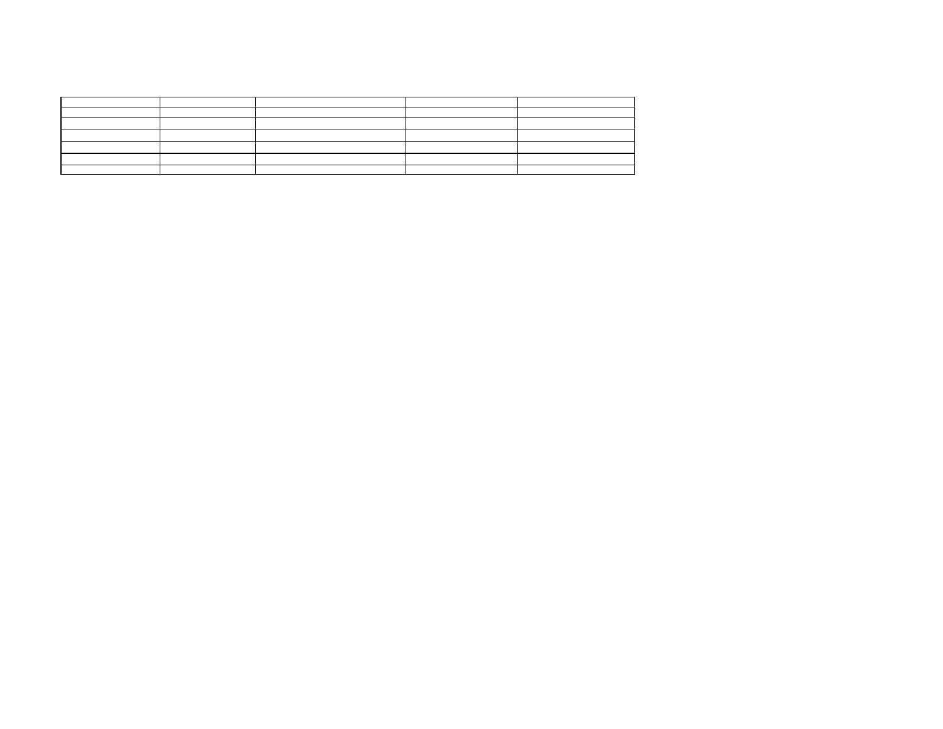|  | <u> 1999 - Jan Jan James, mars and de la component de la component de la component de la component de la componen</u> |  |
|--|-----------------------------------------------------------------------------------------------------------------------|--|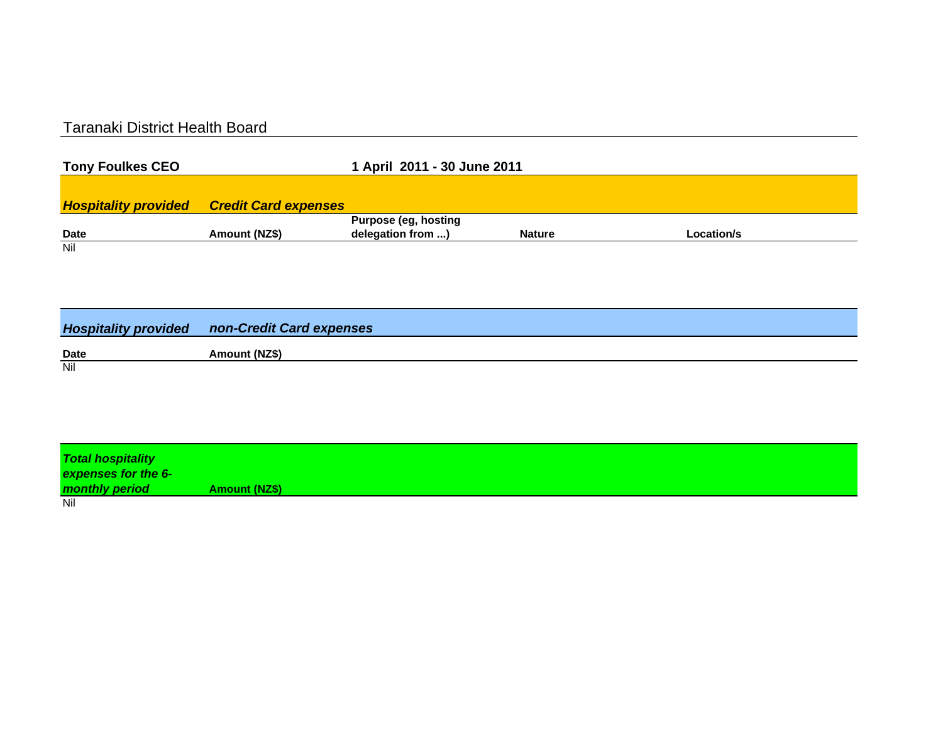## Taranaki District Health Board

| <b>Tony Foulkes CEO</b> |                                                  | 1 April 2011 - 30 June 2011 |               |            |
|-------------------------|--------------------------------------------------|-----------------------------|---------------|------------|
|                         |                                                  |                             |               |            |
|                         | <b>Hospitality provided Credit Card expenses</b> |                             |               |            |
|                         |                                                  | <b>Purpose (eg, hosting</b> |               |            |
| <b>Date</b>             | Amount (NZ\$)                                    | delegation from )           | <b>Nature</b> | Location/s |
| Nil                     |                                                  |                             |               |            |

|             | <b>Hospitality provided non-Credit Card expenses</b> |
|-------------|------------------------------------------------------|
| <b>Date</b> | Amount (NZ\$)                                        |
| Nil         |                                                      |

| <b>Total hospitality</b><br>expenses for the 6- |                      |
|-------------------------------------------------|----------------------|
| monthly period                                  | <b>Amount (NZ\$)</b> |
| Nil                                             |                      |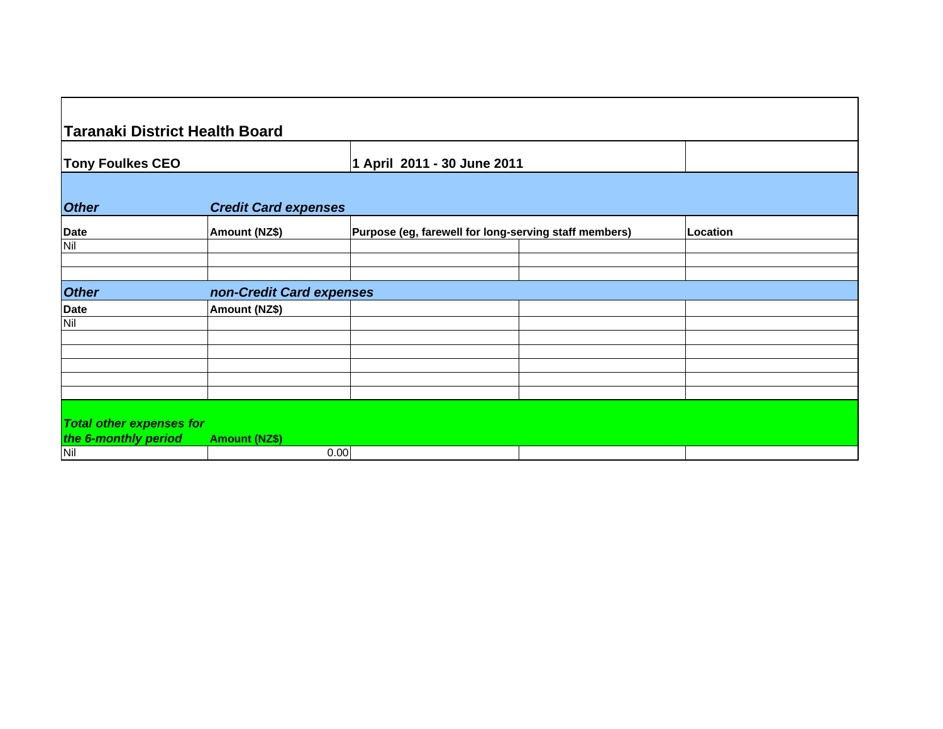| <b>Taranaki District Health Board</b> |                             |                             |                                                       |  |          |
|---------------------------------------|-----------------------------|-----------------------------|-------------------------------------------------------|--|----------|
| <b>Tony Foulkes CEO</b>               |                             | 1 April 2011 - 30 June 2011 |                                                       |  |          |
| <b>Other</b>                          | <b>Credit Card expenses</b> |                             |                                                       |  |          |
| <b>Date</b>                           | Amount (NZ\$)               |                             | Purpose (eg, farewell for long-serving staff members) |  | Location |
| Nil                                   |                             |                             |                                                       |  |          |
|                                       |                             |                             |                                                       |  |          |
| <b>Other</b>                          | non-Credit Card expenses    |                             |                                                       |  |          |
| <b>Date</b>                           | Amount (NZ\$)               |                             |                                                       |  |          |
| Nil                                   |                             |                             |                                                       |  |          |
|                                       |                             |                             |                                                       |  |          |
|                                       |                             |                             |                                                       |  |          |
|                                       |                             |                             |                                                       |  |          |
|                                       |                             |                             |                                                       |  |          |
| <b>Total other expenses for</b>       |                             |                             |                                                       |  |          |
| the 6-monthly period                  | <b>Amount (NZ\$)</b>        |                             |                                                       |  |          |
| Nil                                   |                             | 0.00                        |                                                       |  |          |